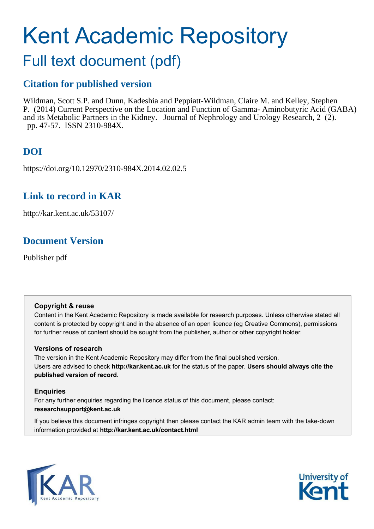# Kent Academic Repository

## Full text document (pdf)

## **Citation for published version**

Wildman, Scott S.P. and Dunn, Kadeshia and Peppiatt-Wildman, Claire M. and Kelley, Stephen P. (2014) Current Perspective on the Location and Function of Gamma- Aminobutyric Acid (GABA) and its Metabolic Partners in the Kidney. Journal of Nephrology and Urology Research, 2 (2). pp. 47-57. ISSN 2310-984X.

## **DOI**

https://doi.org/10.12970/2310-984X.2014.02.02.5

## **Link to record in KAR**

http://kar.kent.ac.uk/53107/

## **Document Version**

Publisher pdf

### **Copyright & reuse**

Content in the Kent Academic Repository is made available for research purposes. Unless otherwise stated all content is protected by copyright and in the absence of an open licence (eg Creative Commons), permissions for further reuse of content should be sought from the publisher, author or other copyright holder.

### **Versions of research**

The version in the Kent Academic Repository may differ from the final published version. Users are advised to check **http://kar.kent.ac.uk** for the status of the paper. **Users should always cite the published version of record.**

### **Enquiries**

For any further enquiries regarding the licence status of this document, please contact: **researchsupport@kent.ac.uk**

If you believe this document infringes copyright then please contact the KAR admin team with the take-down information provided at **http://kar.kent.ac.uk/contact.html**



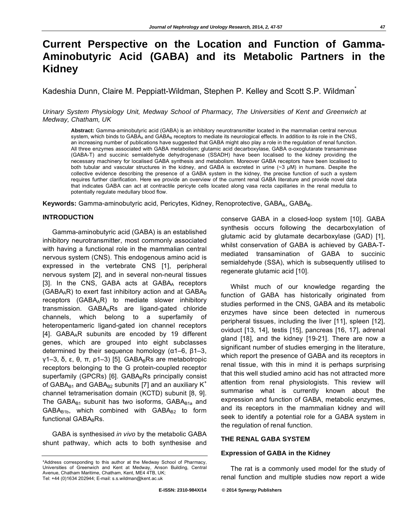## **Current Perspective on the Location and Function of Gamma-Aminobutyric Acid (GABA) and its Metabolic Partners in the Kidney**

Kadeshia Dunn, Claire M. Peppiatt-Wildman, Stephen P. Kelley and Scott S.P. Wildman<sup>\*</sup>

Urinary System Physiology Unit, Medway School of Pharmacy, The Universities of Kent and Greenwich at Medway, Chatham, UK

**Abstract:** Gamma-aminobutyric acid (GABA) is an inhibitory neurotransmitter located in the mammalian central nervous system, which binds to GABA<sub>A</sub> and GABA<sub>B</sub> receptors to mediate its neurological effects. In addition to its role in the CNS, an increasing number of publications have suggested that GABA might also play a role in the regulation of renal function. All three enzymes associated with GABA metabolism; glutamic acid decarboxylase, GABA a-oxoglutarate transaminase (GABA-T) and succinic semialdehyde dehydrogenase (SSADH) have been localised to the kidney providing the necessary machinery for localised GABA synthesis and metabolism. Moreover GABA receptors have been localised to both tubular and vascular structures in the kidney, and GABA is excreted in urine (~3 μM) in humans. Despite the collective evidence describing the presence of a GABA system in the kidney, the precise function of such a system requires further clarification. Here we provide an overview of the current renal GABA literature and provide novel data that indicates GABA can act at contractile pericyte cells located along vasa recta capillaries in the renal medulla to potentially regulate medullary blood flow.

Keywords: Gamma-aminobutyric acid, Pericytes, Kidney, Renoprotective, GABA<sub>A</sub>, GABA<sub>B</sub>.

#### **INTRODUCTION**

Gamma-aminobutyric acid (GABA) is an established inhibitory neurotransmitter, most commonly associated with having a functional role in the mammalian central nervous system (CNS). This endogenous amino acid is expressed in the vertebrate CNS [1], peripheral nervous system [2], and in several non-neural tissues [3]. In the CNS, GABA acts at GABAA receptors (GABA<sub>A</sub>R) to exert fast inhibitory action and at  $GABA_B$ receptors (GABAAR) to mediate slower inhibitory transmission. GABA<sub>A</sub>Rs are ligand-gated chloride channels, which belong to a superfamily of heteropentameric ligand-gated ion channel receptors [4]. GABA<sub>A</sub>R subunits are encoded by 19 different genes, which are grouped into eight subclasses determined by their sequence homology ( $\alpha$ 1–6,  $\beta$ 1–3,  $y1-3$ ,  $\delta$ ,  $\varepsilon$ ,  $\theta$ ,  $\pi$ ,  $p1-3$ ) [5]. GABA<sub>B</sub>Rs are metabotropic receptors belonging to the G protein-coupled receptor superfamily (GPCRs)  $[6]$ . GABARS principally consist of GABA $B_1$  and GABA $B_2$  subunits [7] and an auxiliary K<sup>+</sup> channel tetramerisation domain (KCTD) subunit [8, 9]. The GABA $B_{1}$  subunit has two isoforms, GABA $B_{1a}$  and  $GABA<sub>B1b</sub>$ , which combined with  $GABA<sub>B2</sub>$  to form functional GABABRs.

GABA is synthesised in vivo by the metabolic GABA shunt pathway, which acts to both synthesise and conserve GABA in a closed-loop system [10]. GABA synthesis occurs following the decarboxylation of glutamic acid by glutamate decarboxylase (GAD) [1], whilst conservation of GABA is achieved by GABA-Tmediated transamination of GABA to succinic semialdehyde (SSA), which is subsequently utilised to regenerate glutamic acid [10].

Whilst much of our knowledge regarding the function of GABA has historically originated from studies performed in the CNS, GABA and its metabolic enzymes have since been detected in numerous peripheral tissues, including the liver [11], spleen [12], oviduct [13, 14], testis [15], pancreas [16, 17], adrenal gland [18], and the kidney [19-21]. There are now a significant number of studies emerging in the literature, which report the presence of GABA and its receptors in renal tissue, with this in mind it is perhaps surprising that this well studied amino acid has not attracted more attention from renal physiologists. This review will summarise what is currently known about the expression and function of GABA, metabolic enzymes, and its receptors in the mammalian kidney and will seek to identify a potential role for a GABA system in the regulation of renal function.

#### **THE RENAL GABA SYSTEM**

#### **Expression of GABA in the Kidney**

The rat is a commonly used model for the study of renal function and multiple studies now report a wide

<sup>\*</sup>Address corresponding to this author at the Medway School of Pharmacy, Universities of Greenwich and Kent at Medway, Anson Building, Central Avenue, Chatham Maritime, Chatham, Kent, ME4 4TB, UK; Tel: +44 (0)1634 202944; E-mail: s.s.wildman@kent.ac.uk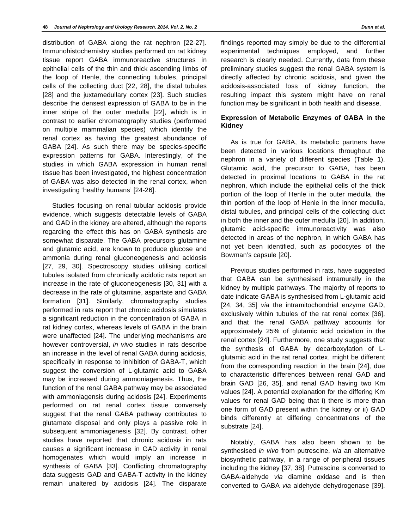distribution of GABA along the rat nephron [22-27]. Immunohistochemistry studies performed on rat kidney tissue report GABA immunoreactive structures in epithelial cells of the thin and thick ascending limbs of the loop of Henle, the connecting tubules, principal cells of the collecting duct [22, 28], the distal tubules [28] and the juxtamedullary cortex [23]. Such studies describe the densest expression of GABA to be in the inner stripe of the outer medulla [22], which is in contrast to earlier chromatography studies (performed on multiple mammalian species) which identify the renal cortex as having the greatest abundance of GABA [24]. As such there may be species-specific expression patterns for GABA. Interestingly, of the studies in which GABA expression in human renal tissue has been investigated, the highest concentration of GABA was also detected in the renal cortex, when investigating 'healthy humans' [24-26].

Studies focusing on renal tubular acidosis provide evidence, which suggests detectable levels of GABA and GAD in the kidney are altered, although the reports regarding the effect this has on GABA synthesis are somewhat disparate. The GABA precursors glutamine and glutamic acid, are known to produce glucose and ammonia during renal gluconeogenesis and acidosis [27, 29, 30]. Spectroscopy studies utilising cortical tubules isolated from chronically acidotic rats report an increase in the rate of gluconeogenesis [30, 31] with a decrease in the rate of glutamine, aspartate and GABA formation [31]. Similarly, chromatography studies performed in rats report that chronic acidosis simulates a significant reduction in the concentration of GABA in rat kidney cortex, whereas levels of GABA in the brain were unaffected [24]. The underlying mechanisms are however controversial, in vivo studies in rats describe an increase in the level of renal GABA during acidosis, specifically in response to inhibition of GABA-T, which suggest the conversion of L-glutamic acid to GABA may be increased during ammoniagenesis. Thus, the function of the renal GABA pathway may be associated with ammoniagensis during acidosis [24]. Experiments performed on rat renal cortex tissue conversely suggest that the renal GABA pathway contributes to glutamate disposal and only plays a passive role in subsequent ammoniagenesis [32]. By contrast, other studies have reported that chronic acidosis in rats causes a significant increase in GAD activity in renal homogenates which would imply an increase in synthesis of GABA [33]. Conflicting chromatography data suggests GAD and GABA-T activity in the kidney remain unaltered by acidosis [24]. The disparate

findings reported may simply be due to the differential experimental techniques employed, and further research is clearly needed. Currently, data from these preliminary studies suggest the renal GABA system is directly affected by chronic acidosis, and given the acidosis-associated loss of kidney function, the resulting impact this system might have on renal function may be significant in both health and disease.

#### **Expression of Metabolic Enzymes of GABA in the Kidney**

As is true for GABA, its metabolic partners have been detected in various locations throughout the nephron in a variety of different species (Table **1**). Glutamic acid, the precursor to GABA, has been detected in proximal locations to GABA in the rat nephron, which include the epithelial cells of the thick portion of the loop of Henle in the outer medulla, the thin portion of the loop of Henle in the inner medulla, distal tubules, and principal cells of the collecting duct in both the inner and the outer medulla [20]. In addition, glutamic acid-specific immunoreactivity was also detected in areas of the nephron, in which GABA has not yet been identified, such as podocytes of the Bowman's capsule [20].

Previous studies performed in rats, have suggested that GABA can be synthesised intramurally in the kidney by multiple pathways. The majority of reports to date indicate GABA is synthesised from L-glutamic acid [24, 34, 35] via the intramitochondrial enzyme GAD, exclusively within tubules of the rat renal cortex [36], and that the renal GABA pathway accounts for approximately 25% of glutamic acid oxidation in the renal cortex [24]. Furthermore, one study suggests that the synthesis of GABA by decarboxylation of Lglutamic acid in the rat renal cortex, might be different from the corresponding reaction in the brain [24], due to characteristic differences between renal GAD and brain GAD [26, 35], and renal GAD having two Km values [24]. A potential explanation for the differing Km values for renal GAD being that i) there is more than one form of GAD present within the kidney or ii) GAD binds differently at differing concentrations of the substrate [24].

Notably, GABA has also been shown to be synthesised in vivo from putrescine, via an alternative biosynthetic pathway, in a range of peripheral tissues including the kidney [37, 38]. Putrescine is converted to GABA-aldehyde via diamine oxidase and is then converted to GABA via aldehyde dehydrogenase [39].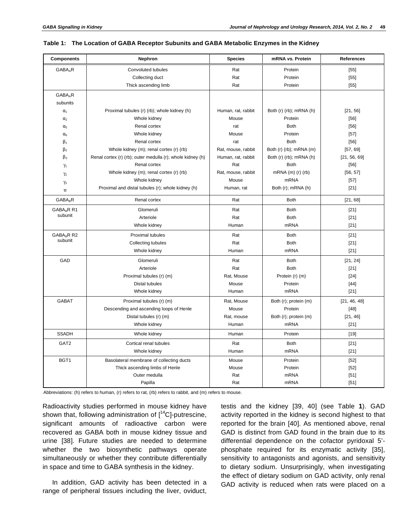| <b>Components</b>                 | Nephron                                                    | <b>Species</b>     | mRNA vs. Protein               | <b>References</b> |
|-----------------------------------|------------------------------------------------------------|--------------------|--------------------------------|-------------------|
| GABA <sub>A</sub> R               | Convoluted tubules                                         | Rat                | Protein                        | [55]              |
|                                   | Collecting duct                                            | Rat                | Protein                        | $[55]$            |
|                                   | Thick ascending limb                                       | Rat                | Protein                        | $[55]$            |
| <b>GABAAR</b>                     |                                                            |                    |                                |                   |
| subunits                          |                                                            |                    |                                |                   |
| $\alpha_1$                        | Proximal tubules (r) (rb); whole kidney (h)                | Human, rat, rabbit | Both (r) (rb); mRNA (h)        | [21, 56]          |
| $\alpha_2$                        | Whole kidney                                               | Mouse              | Protein                        | [56]              |
| $\alpha_5$                        | Renal cortex                                               | rat                | <b>Both</b>                    | [56]              |
| $\alpha_6$                        | Whole kidney                                               | Mouse              | Protein                        | $[57]$            |
| $\beta_1$                         | Renal cortex                                               | rat                | <b>Both</b>                    | [56]              |
| $\beta_2$                         | Whole kidney (m); renal cortex (r) (rb)                    | Rat, mouse, rabbit | Both $(r)$ $(rb)$ ; mRNA $(m)$ | [57, 69]          |
| $\beta_3$                         | Renal cortex (r) (rb); outer medulla (r); whole kidney (h) | Human, rat, rabbit | Both (r) (rb); mRNA (h)        | [21, 56, 69]      |
| $\gamma_1$                        | Renal cortex                                               | Rat                | <b>Both</b>                    | [56]              |
| $\gamma_2$                        | Whole kidney (m); renal cortex (r) (rb)                    | Rat, mouse, rabbit | mRNA $(m)$ $(r)$ $(r)$         | [56, 57]          |
| $\gamma_3$                        | Whole kidney                                               | Mouse              | <b>mRNA</b>                    | $[57]$            |
| π                                 | Proximal and distal tubules (r); whole kidney (h)          | Human, rat         | Both (r); mRNA (h)             | $[21]$            |
| $GABA_BR$                         | Renal cortex                                               | Rat                | <b>Both</b>                    | [21, 68]          |
| GABA <sub>B</sub> R R1<br>subunit | Glomeruli                                                  | Rat                | <b>Both</b>                    | $[21]$            |
|                                   | Arteriole                                                  | Rat                | <b>Both</b>                    | $[21]$            |
|                                   | Whole kidney                                               | Human              | <b>mRNA</b>                    | $[21]$            |
| GABA <sub>B</sub> R R2<br>subunit | Proximal tubules                                           | Rat                | <b>Both</b>                    | $[21]$            |
|                                   | <b>Collecting tubules</b>                                  | Rat                | <b>Both</b>                    | $[21]$            |
|                                   | Whole kidney                                               | Human              | mRNA                           | $[21]$            |
| GAD                               | Glomeruli                                                  | Rat                | <b>Both</b>                    | [21, 24]          |
|                                   | Arteriole                                                  | Rat                | <b>Both</b>                    | $[21]$            |
|                                   | Proximal tubules (r) (m)                                   | Rat, Mouse         | Protein (r) (m)                | $[24]$            |
|                                   | <b>Distal tubules</b>                                      | Mouse              | Protein                        | $[44]$            |
|                                   | Whole kidney                                               | Human              | <b>mRNA</b>                    | $[21]$            |
| <b>GABAT</b>                      | Proximal tubules (r) (m)                                   | Rat, Mouse         | Both (r); protein (m)          | [21, 46, 48]      |
|                                   | Descending and ascending loops of Henle                    | Mouse              | Protein                        | $[48]$            |
|                                   | Distal tubules (r) (m)                                     | Rat, mouse         | Both (r); protein (m)          | [21, 46]          |
|                                   | Whole kidney                                               | Human              | <b>mRNA</b>                    | $[21]$            |
| <b>SSADH</b>                      | Whole kidney                                               | Human              | Protein                        | $[19]$            |
| GAT <sub>2</sub>                  | Cortical renal tubules                                     | Rat                | <b>Both</b>                    | $[21]$            |
|                                   | Whole kidney                                               | Human              | <b>mRNA</b>                    | $[21]$            |
| BGT1                              | Basolateral membrane of collecting ducts                   | Mouse              | Protein                        | $[52]$            |
|                                   | Thick ascending limbs of Henle                             | Mouse              | Protein                        | $[52]$            |
|                                   | Outer medulla                                              | Rat                | <b>mRNA</b>                    | $[51]$            |
|                                   | Papilla                                                    | Rat                | <b>mRNA</b>                    | $[51]$            |

#### **Table 1: The Location of GABA Receptor Subunits and GABA Metabolic Enzymes in the Kidney**

Abbreviations: (h) refers to human, (r) refers to rat, (rb) refers to rabbit, and (m) refers to mouse.

Radioactivity studies performed in mouse kidney have shown that, following administration of  $[14C]$ -putrescine, significant amounts of radioactive carbon were recovered as GABA both in mouse kidney tissue and urine [38]. Future studies are needed to determine whether the two biosynthetic pathways operate simultaneously or whether they contribute differentially in space and time to GABA synthesis in the kidney.

In addition, GAD activity has been detected in a range of peripheral tissues including the liver, oviduct,

testis and the kidney [39, 40] (see Table **1**). GAD activity reported in the kidney is second highest to that reported for the brain [40]. As mentioned above, renal GAD is distinct from GAD found in the brain due to its differential dependence on the cofactor pyridoxal 5' phosphate required for its enzymatic activity [35], sensitivity to antagonists and agonists, and sensitivity to dietary sodium. Unsurprisingly, when investigating the effect of dietary sodium on GAD activity, only renal GAD activity is reduced when rats were placed on a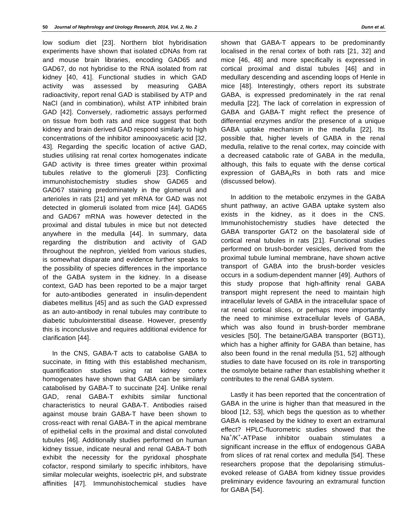low sodium diet [23]. Northern blot hybridisation experiments have shown that isolated cDNAs from rat and mouse brain libraries, encoding GAD65 and GAD67, do not hybridise to the RNA isolated from rat kidney [40, 41]. Functional studies in which GAD activity was assessed by measuring GABA radioactivity, report renal GAD is stabilised by ATP and NaCl (and in combination), whilst ATP inhibited brain GAD [42]. Conversely, radiometric assays performed on tissue from both rats and mice suggest that both kidney and brain derived GAD respond similarly to high concentrations of the inhibitor aminooxyacetic acid [32, 43]. Regarding the specific location of active GAD, studies utilising rat renal cortex homogenates indicate GAD activity is three times greater within proximal tubules relative to the glomeruli [23]. Conflicting immunohistochemistry studies show GAD65 and GAD67 staining predominately in the glomeruli and arterioles in rats [21] and yet mRNA for GAD was not detected in glomeruli isolated from mice [44]. GAD65 and GAD67 mRNA was however detected in the proximal and distal tubules in mice but not detected anywhere in the medulla [44]. In summary, data regarding the distribution and activity of GAD throughout the nephron, yielded from various studies, is somewhat disparate and evidence further speaks to the possibility of species differences in the importance of the GABA system in the kidney. In a disease context, GAD has been reported to be a major target for auto-antibodies generated in insulin-dependent diabetes mellitus [45] and as such the GAD expressed as an auto-antibody in renal tubules may contribute to diabetic tubulointerstitial disease. However, presently this is inconclusive and requires additional evidence for clarification [44].

In the CNS, GABA-T acts to catabolise GABA to succinate, in fitting with this established mechanism, quantification studies using rat kidney cortex homogenates have shown that GABA can be similarly catabolised by GABA-T to succinate [24]. Unlike renal GAD, renal GABA-T exhibits similar functional characteristics to neural GABA-T. Antibodies raised against mouse brain GABA-T have been shown to cross-react with renal GABA-T in the apical membrane of epithelial cells in the proximal and distal convoluted tubules [46]. Additionally studies performed on human kidney tissue, indicate neural and renal GABA-T both exhibit the necessity for the pyridoxal phosphate cofactor, respond similarly to specific inhibitors, have similar molecular weights, isoelectric pH, and substrate affinities [47]. Immunohistochemical studies have

shown that GABA-T appears to be predominantly localised in the renal cortex of both rats [21, 32] and mice [46, 48] and more specifically is expressed in cortical proximal and distal tubules [46] and in medullary descending and ascending loops of Henle in mice [48]. Interestingly, others report its substrate GABA, is expressed predominately in the rat renal medulla [22]. The lack of correlation in expression of GABA and GABA-T might reflect the presence of differential enzymes and/or the presence of a unique GABA uptake mechanism in the medulla [22]. Its possible that, higher levels of GABA in the renal medulla, relative to the renal cortex, may coincide with a decreased catabolic rate of GABA in the medulla, although, this fails to equate with the dense cortical expression of GABAARs in both rats and mice (discussed below).

In addition to the metabolic enzymes in the GABA shunt pathway, an active GABA uptake system also exists in the kidney, as it does in the CNS. Immunohistochemistry studies have detected the GABA transporter GAT2 on the basolateral side of cortical renal tubules in rats [21]. Functional studies performed on brush-border vesicles, derived from the proximal tubule luminal membrane, have shown active transport of GABA into the brush-border vesicles occurs in a sodium-dependent manner [49]. Authors of this study propose that high-affinity renal GABA transport might represent the need to maintain high intracellular levels of GABA in the intracellular space of rat renal cortical slices, or perhaps more importantly the need to minimise extracellular levels of GABA, which was also found in brush-border membrane vesicles [50]. The betaine/GABA transporter (BGT1), which has a higher affinity for GABA than betaine, has also been found in the renal medulla [51, 52] although studies to date have focused on its role in transporting the osmolyte betaine rather than establishing whether it contributes to the renal GABA system.

Lastly it has been reported that the concentration of GABA in the urine is higher than that measured in the blood [12, 53], which begs the question as to whether GABA is released by the kidney to exert an extramural effect? HPLC-fluorometric studies showed that the  $Na^{\dagger}/K^{\dagger}$ inhibitor ouabain stimulates a significant increase in the efflux of endogenous GABA from slices of rat renal cortex and medulla [54]. These researchers propose that the depolarising stimulusevoked release of GABA from kidney tissue provides preliminary evidence favouring an extramural function for GABA [54].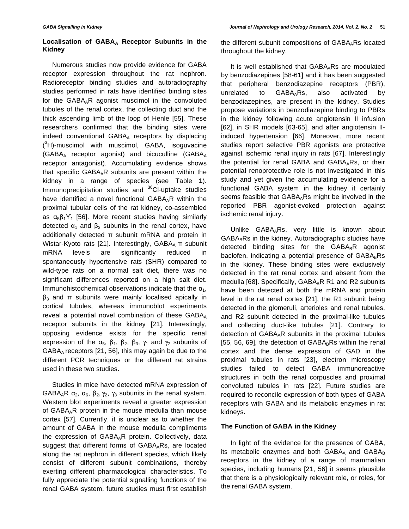#### **Localisation of GABAA Receptor Subunits in the Kidney**

Numerous studies now provide evidence for GABA receptor expression throughout the rat nephron. Radioreceptor binding studies and autoradiography studies performed in rats have identified binding sites for the GABAAR agonist muscimol in the convoluted tubules of the renal cortex, the collecting duct and the thick ascending limb of the loop of Henle [55]. These researchers confirmed that the binding sites were indeed conventional GABAA receptors by displacing  $(3H)$ -muscimol with muscimol, GABA, isoguvacine (GABAA receptor agonist) and bicuculline (GABA<sup>A</sup> receptor antagonist). Accumulating evidence shows that specific GABAAR subunits are present within the kidney in a range of species (see Table **1**). Immunoprecipitation studies and <sup>36</sup>Cl-uptake studies have identified a novel functional  $GABA_AR$  within the proximal tubular cells of the rat kidney, co-assembled as  $\alpha_5 \beta_1 Y_1$  [56]. More recent studies having similarly detected  $\alpha_1$  and  $\beta_3$  subunits in the renal cortex, have additionally detected  $\pi$  subunit mRNA and protein in Wistar-Kyoto rats [21]. Interestingly,  $GABA_A \pi$  subunit mRNA levels are significantly reduced in spontaneously hypertensive rats (SHR) compared to wild-type rats on a normal salt diet, there was no significant differences reported on a high salt diet. Immunohistochemical observations indicate that the  $\alpha_1$ ,  $\beta_3$  and  $\pi$  subunits were mainly localised apically in cortical tubules, whereas immunoblot experiments reveal a potential novel combination of these  $GABA_A$ receptor subunits in the kidney [21]. Interestingly, opposing evidence exists for the specific renal expression of the  $\alpha_5$ ,  $\beta_1$ ,  $\beta_2$ ,  $\beta_3$ ,  $\gamma_1$  and  $\gamma_2$  subunits of GABAA receptors [21, 56], this may again be due to the different PCR techniques or the different rat strains used in these two studies.

Studies in mice have detected mRNA expression of GABA<sub>A</sub>R  $\alpha_2$ ,  $\alpha_6$ ,  $\beta_2$ ,  $\gamma_2$ ,  $\gamma_3$  subunits in the renal system. Western blot experiments reveal a greater expression of GABAAR protein in the mouse medulla than mouse cortex [57]. Currently, it is unclear as to whether the amount of GABA in the mouse medulla compliments the expression of GABAAR protein. Collectively, data suggest that different forms of GABAARs, are located along the rat nephron in different species, which likely consist of different subunit combinations, thereby exerting different pharmacological characteristics. To fully appreciate the potential signalling functions of the renal GABA system, future studies must first establish

the different subunit compositions of  $GABA<sub>A</sub>RS$  located throughout the kidney.

It is well established that  $GABA<sub>A</sub>RS$  are modulated by benzodiazepines [58-61] and it has been suggested that peripheral benzodiazepine receptors (PBR), unrelated to GABAARs, also activated by benzodiazepines, are present in the kidney. Studies propose variations in benzodiazepine binding to PBRs in the kidney following acute angiotensin II infusion [62], in SHR models [63-65], and after angiotensin IIinduced hypertension [66]. Moreover, more recent studies report selective PBR agonists are protective against ischemic renal injury in rats [67]. Interestingly the potential for renal GABA and GABA<sub>A</sub>Rs, or their potential renoprotective role is not investigated in this study and yet given the accumulating evidence for a functional GABA system in the kidney it certainly seems feasible that GABA<sub>A</sub>Rs might be involved in the reported PBR agonist-evoked protection against ischemic renal injury.

Unlike GABA<sub>A</sub>Rs, very little is known about GABABRs in the kidney. Autoradiographic studies have detected binding sites for the  $GABA_BR$  agonist baclofen, indicating a potential presence of  $GABA_BRS$ in the kidney. These binding sites were exclusively detected in the rat renal cortex and absent from the medulla [68]. Specifically,  $GABA_BR$  R1 and R2 subunits have been detected at both the mRNA and protein level in the rat renal cortex [21], the R1 subunit being detected in the glomeruli, arterioles and renal tubules, and R2 subunit detected in the proximal-like tubules and collecting duct-like tubules [21]. Contrary to detection of GABA<sub>A</sub>R subunits in the proximal tubules [55, 56, 69], the detection of  $GABA_BRs$  within the renal cortex and the dense expression of GAD in the proximal tubules in rats [23], electron microscopy studies failed to detect GABA immunoreactive structures in both the renal corpuscles and proximal convoluted tubules in rats [22]. Future studies are required to reconcile expression of both types of GABA receptors with GABA and its metabolic enzymes in rat kidneys.

#### **The Function of GABA in the Kidney**

In light of the evidence for the presence of GABA, its metabolic enzymes and both  $GABA_A$  and  $GABA_B$ receptors in the kidney of a range of mammalian species, including humans [21, 56] it seems plausible that there is a physiologically relevant role, or roles, for the renal GABA system.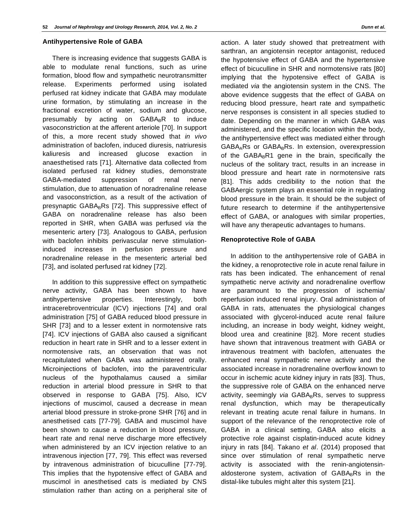#### **Antihypertensive Role of GABA**

There is increasing evidence that suggests GABA is able to modulate renal functions, such as urine formation, blood flow and sympathetic neurotransmitter release. Experiments performed using isolated perfused rat kidney indicate that GABA may modulate urine formation, by stimulating an increase in the fractional excretion of water, sodium and glucose, presumably by acting on  $GABA_B R$  to induce vasoconstriction at the afferent arteriole [70]. In support of this, a more recent study showed that in vivo administration of baclofen, induced diuresis, natriuresis kaliuresis and increased glucose exaction in anaesthetised rats [71]. Alternative data collected from isolated perfused rat kidney studies, demonstrate GABA-mediated suppression of renal nerve stimulation, due to attenuation of noradrenaline release and vasoconstriction, as a result of the activation of presynaptic  $GABA_BRS$  [72]. This suppressive effect of GABA on noradrenaline release has also been reported in SHR, when GABA was perfused via the mesenteric artery [73]. Analogous to GABA, perfusion with baclofen inhibits perivascular nerve stimulationinduced increases in perfusion pressure and noradrenaline release in the mesenteric arterial bed [73], and isolated perfused rat kidney [72].

In addition to this suppressive effect on sympathetic nerve activity, GABA has been shown to have antihypertensive properties. Interestingly, both intracerebroventricular (ICV) injections [74] and oral administration [75] of GABA reduced blood pressure in SHR [73] and to a lesser extent in normotensive rats [74]. ICV injections of GABA also caused a significant reduction in heart rate in SHR and to a lesser extent in normotensive rats, an observation that was not recapitulated when GABA was administered orally. Microinjections of baclofen, into the paraventricular nucleus of the hypothalamus caused a similar reduction in arterial blood pressure in SHR to that observed in response to GABA [75]. Also, ICV injections of muscimol, caused a decrease in mean arterial blood pressure in stroke-prone SHR [76] and in anesthetised cats [77-79]. GABA and muscimol have been shown to cause a reduction in blood pressure, heart rate and renal nerve discharge more effectively when administered by an ICV injection relative to an intravenous injection [77, 79]. This effect was reversed by intravenous administration of bicuculline [77-79]. This implies that the hypotensive effect of GABA and muscimol in anesthetised cats is mediated by CNS stimulation rather than acting on a peripheral site of action. A later study showed that pretreatment with sarthran, an angiotensin receptor antagonist, reduced the hypotensive effect of GABA and the hypertensive effect of bicuculline in SHR and normotensive rats [80] implying that the hypotensive effect of GABA is mediated via the angiotensin system in the CNS. The above evidence suggests that the effect of GABA on reducing blood pressure, heart rate and sympathetic nerve responses is consistent in all species studied to date. Depending on the manner in which GABA was administered, and the specific location within the body, the antihypertensive effect was mediated either through GABA<sub>A</sub>Rs or GABA<sub>B</sub>Rs. In extension, overexpression of the GABABR1 gene in the brain, specifically the nucleus of the solitary tract, results in an increase in blood pressure and heart rate in normotensive rats [81]. This adds credibility to the notion that the GABAergic system plays an essential role in regulating blood pressure in the brain. It should be the subject of future research to determine if the antihypertensive effect of GABA, or analogues with similar properties, will have any therapeutic advantages to humans.

#### **Renoprotective Role of GABA**

In addition to the antihypertensive role of GABA in the kidney, a renoprotective role in acute renal failure in rats has been indicated. The enhancement of renal sympathetic nerve activity and noradrenaline overflow are paramount to the progression of ischemia/ reperfusion induced renal injury. Oral administration of GABA in rats, attenuates the physiological changes associated with glycerol-induced acute renal failure including, an increase in body weight, kidney weight, blood urea and creatinine [82]. More recent studies have shown that intravenous treatment with GABA or intravenous treatment with baclofen, attenuates the enhanced renal sympathetic nerve activity and the associated increase in noradrenaline overflow known to occur in ischemic acute kidney injury in rats [83]. Thus, the suppressive role of GABA on the enhanced nerve activity, seemingly via  $GABA_BRS$ , serves to suppress renal dysfunction, which may be therapeutically relevant in treating acute renal failure in humans. In support of the relevance of the renoprotective role of GABA in a clinical setting, GABA also elicits a protective role against cisplatin-induced acute kidney injury in rats [84]. Takano et al. (2014) proposed that since over stimulation of renal sympathetic nerve activity is associated with the renin-angiotensinaldosterone system, activation of GABABRs in the distal-like tubules might alter this system [21].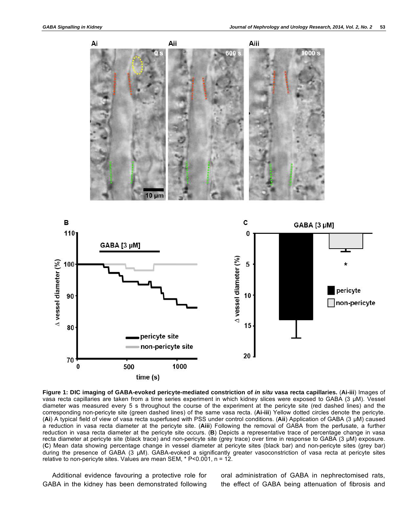

**Figure 1: DIC imaging of GABA-evoked pericyte-mediated constriction of in situ vasa recta capillaries.** (**Ai-iii**) Images of vasa recta capillaries are taken from a time series experiment in which kidney slices were exposed to GABA (3 μM). Vessel diameter was measured every 5 s throughout the course of the experiment at the pericyte site (red dashed lines) and the corresponding non-pericyte site (green dashed lines) of the same vasa recta. (**Ai-iii**) Yellow dotted circles denote the pericyte. (**Ai**) A typical field of view of vasa recta superfused with PSS under control conditions. (**Aii**) Application of GABA (3 μM) caused a reduction in vasa recta diameter at the pericyte site. (**Aiii**) Following the removal of GABA from the perfusate, a further reduction in vasa recta diameter at the pericyte site occurs. (**B**) Depicts a representative trace of percentage change in vasa recta diameter at pericyte site (black trace) and non-pericyte site (grey trace) over time in response to GABA (3 μM) exposure. (**C**) Mean data showing percentage change in vessel diameter at pericyte sites (black bar) and non-pericyte sites (grey bar) during the presence of GABA (3 μM). GABA-evoked a significantly greater vasoconstriction of vasa recta at pericyte sites relative to non-pericyte sites. Values are mean SEM, \* P<0.001, n = 12.

Additional evidence favouring a protective role for GABA in the kidney has been demonstrated following oral administration of GABA in nephrectomised rats, the effect of GABA being attenuation of fibrosis and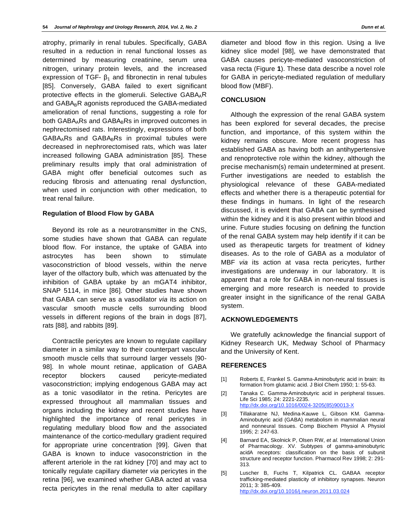atrophy, primarily in renal tubules. Specifically, GABA resulted in a reduction in renal functional losses as determined by measuring creatinine, serum urea nitrogen, urinary protein levels, and the increased expression of TGF-  $\beta_1$  and fibronectin in renal tubules [85]. Conversely, GABA failed to exert significant protective effects in the glomeruli. Selective GABA<sub>A</sub>R and  $GABA_BR$  agonists reproduced the  $GABA$ -mediated amelioration of renal functions, suggesting a role for both GABA<sub>A</sub>Rs and GABA<sub>B</sub>Rs in improved outcomes in nephrectomised rats. Interestingly, expressions of both  $GABA<sub>A</sub>RS$  and  $GABA<sub>B</sub>Rs$  in proximal tubules were decreased in nephrorectomised rats, which was later increased following GABA administration [85]. These preliminary results imply that oral administration of GABA might offer beneficial outcomes such as reducing fibrosis and attenuating renal dysfunction, when used in conjunction with other medication, to treat renal failure.

#### **Regulation of Blood Flow by GABA**

Beyond its role as a neurotransmitter in the CNS, some studies have shown that GABA can regulate blood flow. For instance, the uptake of GABA into astrocytes has been shown to stimulate vasoconstriction of blood vessels, within the nerve layer of the olfactory bulb, which was attenuated by the inhibition of GABA uptake by an mGAT4 inhibitor, SNAP 5114, in mice [86]. Other studies have shown that GABA can serve as a vasodilator via its action on vascular smooth muscle cells surrounding blood vessels in different regions of the brain in dogs [87], rats [88], and rabbits [89].

Contractile pericytes are known to regulate capillary diameter in a similar way to their counterpart vascular smooth muscle cells that surround larger vessels [90- 98]. In whole mount retinae, application of GABA receptor blockers caused pericyte-mediated vasoconstriction; implying endogenous GABA may act as a tonic vasodilator in the retina. Pericytes are expressed throughout all mammalian tissues and organs including the kidney and recent studies have highlighted the importance of renal pericytes in regulating medullary blood flow and the associated maintenance of the cortico-medullary gradient required for appropriate urine concentration [99]. Given that GABA is known to induce vasoconstriction in the afferent arteriole in the rat kidney [70] and may act to tonically regulate capillary diameter via pericytes in the retina [96], we examined whether GABA acted at vasa recta pericytes in the renal medulla to alter capillary

diameter and blood flow in this region. Using a live kidney slice model [98], we have demonstrated that GABA causes pericyte-mediated vasoconstriction of vasa recta (Figure **1**). These data describe a novel role for GABA in pericyte-mediated regulation of medullary blood flow (MBF).

#### **CONCLUSION**

Although the expression of the renal GABA system has been explored for several decades, the precise function, and importance, of this system within the kidney remains obscure. More recent progress has established GABA as having both an antihypertensive and renoprotective role within the kidney, although the precise mechanism(s) remain undetermined at present. Further investigations are needed to establish the physiological relevance of these GABA-mediated effects and whether there is a therapeutic potential for these findings in humans. In light of the research discussed, it is evident that GABA can be synthesised within the kidney and it is also present within blood and urine. Future studies focusing on defining the function of the renal GABA system may help identify if it can be used as therapeutic targets for treatment of kidney diseases. As to the role of GABA as a modulator of MBF *via* its action at vasa recta pericytes, further investigations are underway in our laboratory. It is apparent that a role for GABA in non-neural tissues is emerging and more research is needed to provide greater insight in the significance of the renal GABA system.

#### **ACKNOWLEDGEMENTS**

We gratefully acknowledge the financial support of Kidney Research UK, Medway School of Pharmacy and the University of Kent.

#### **REFERENCES**

- [1] Roberts E, Frankel S. Gamma-Aminobutyric acid in brain: its formation from glutamic acid. J Biol Chem 1950; 1: 55-63.
- [2] Tanaka C. Gamma-Aminobutyric acid in peripheral tissues. Life Sci 1985; 24: 2221-2235. http://dx.doi.org/10.1016/0024-3205(85)90013-X
- [3] Tillakaratne NJ, Medina-Kauwe L, Gibson KM. Gamma-Aminobutyric acid (GABA) metabolism in mammalian neural and nonneural tissues. Comp Biochem Physiol A Physiol 1995; 2: 247-63.
- [4] Barnard EA, Skolnick P, Olsen RW, et al. International Union of Pharmacology. XV. Subtypes of gamma-aminobutyric acidA receptors: classification on the basis of subunit structure and receptor function. Pharmacol Rev 1998; 2: 291- 313.
- [5] Luscher B, Fuchs T, Kilpatrick CL. GABAA receptor trafficking-mediated plasticity of inhibitory synapses. Neuron 2011; 3: 385-409. http://dx.doi.org/10.1016/j.neuron.2011.03.024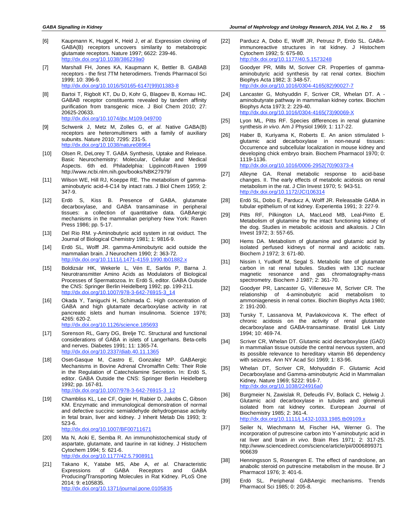- [6] Kaupmann K, Huggel K, Heid J, et al. Expression cloning of GABA(B) receptors uncovers similarity to metabotropic glutamate receptors. Nature 1997; 6622: 239-46. http://dx.doi.org/10.1038/386239a0
- [7] Marshall FH, Jones KA, Kaupmann K, Bettler B. GABAB receptors - the first 7TM heterodimers. Trends Pharmacol Sci 1999; 10: 396-9. http://dx.doi.org/10.1016/S0165-6147(99)01383-8
- [8] Bartoi T, Rigbolt KT, Du D, Kohr G, Blagoev B, Kornau HC. GABAB receptor constituents revealed by tandem affinity purification from transgenic mice. J Biol Chem 2010; 27: 20625-20633. http://dx.doi.org/10.1074/jbc.M109.049700
- [9] Schwenk J, Metz M, Zolles G, et al. Native GABA(B) receptors are heteromultimers with a family of auxiliary subunits. Nature 2010; 7295: 231-5. http://dx.doi.org/10.1038/nature08964
- [10] Olsen R, DeLorey T. GABA Synthesis, Uptake and Release. Basic Neurochemistry: Molecular, Cellular and Medical Aspects. 6th ed. Philadelphia: Lippincott-Raven 1999 http://www.ncbi.nlm.nih.gov/books/NBK27979/
- [11] Wilson WE, Hill RJ, Koeppe RE. The metabolism of gammaaminobutyric acid-4-C14 by intact rats. J Biol Chem 1959; 2: 347-9.
- [12] Erdö S, Kiss B. Presence of GABA, glutamate decarboxylase, and GABA transaminase in peripheral tissues: a collection of quantitative data. GABAergic mechanisms in the mammalian periphery New York: Raven Press 1986; pp. 5-17.
- [13] Del Rio RM. y-Aminobutyric acid system in rat oviduct. The Journal of Biological Chemistry 1981; 1: 9816-9.
- [14] Erdö SL, Wolff JR. gamma-Aminobutyric acid outside the mammalian brain. J Neurochem 1990; 2: 363-72. http://dx.doi.org/10.1111/j.1471-4159.1990.tb01882.x
- [15] Boldizsár HK, Wekerle L, Vén E, Sarlós P, Barna J. Neurotransmitter Amino Acids as Modulators of Biological Processes of Spermatozoa. In: Erdö S, editor. GABA Outside the CNS: Springer Berlin Heidelberg 1992; pp. 199-211. http://dx.doi.org/10.1007/978-3-642-76915-3\_14
- [16] Okada Y, Taniguchi H, Schimada C. High concentration of GABA and high glutamate decarboxylase activity in rat pancreatic islets and human insulinoma. Science 1976; 4265: 620-2. http://dx.doi.org/10.1126/science.185693
- [17] Sorenson RL, Garry DG, Brelje TC. Structural and functional considerations of GABA in islets of Langerhans. Beta-cells and nerves. Diabetes 1991; 11: 1365-74. http://dx.doi.org/10.2337/diab.40.11.1365
- [18] Oset-Gasque M, Castro E, Gonzalez MP. GABAergic Mechanisms in Bovine Adrenal Chromaffin Cells: Their Role in the Regulation of Catecholamine Secretion. In: Erdö S, editor. GABA Outside the CNS: Springer Berlin Heidelberg 1992; pp. 167-81. http://dx.doi.org/10.1007/978-3-642-76915-3\_12
- [19] Chambliss KL, Lee CF, Ogier H, Rabier D, Jakobs C, Gibson KM. Enzymatic and immunological demonstration of normal and defective succinic semialdehyde dehydrogenase activity in fetal brain, liver and kidney. J Inherit Metab Dis 1993; 3: 523-6. http://dx.doi.org/10.1007/BF00711671
- [20] Ma N, Aoki E, Semba R. An immunohistochemical study of aspartate, glutamate, and taurine in rat kidney. J Histochem Cytochem 1994; 5: 621-6. http://dx.doi.org/10.1177/42.5.7908911
- [21] Takano K, Yatabe MS, Abe A, et al. Characteristic Expressions of GABA Receptors and GABA Producing/Transporting Molecules in Rat Kidney. PLoS One 2014; 9: e105835. http://dx.doi.org/10.1371/journal.pone.0105835
- [22] Parducz A, Dobo E, Wolff JR, Petrusz P, Erdo SL. GABAimmunoreactive structures in rat kidney. J Histochem Cytochem 1992; 5: 675-80. http://dx.doi.org/10.1177/40.5.1573248
- [23] Goodyer PR, Mills M, Scriver CR. Properties of gammaaminobutyric acid synthesis by rat renal cortex. Biochim Biophys Acta 1982; 3: 348-57. http://dx.doi.org/10.1016/0304-4165(82)90027-7
- [24] Lancaster G, Mohyuddin F, Scriver CR, Whelan DT. A aminobutyrate pathway in mammalian kidney cortex. Biochim Biophys Acta 1973; 2: 229-40. http://dx.doi.org/10.1016/0304-4165(73)90069-X
- [25] Lyon ML, Pitts RF. Species differences in renal glutamine synthesis in vivo. Am J Physiol 1969; 1: 117-22.
- [26] Haber B, Kuriyama K, Roberts E. An anion stimulated Iglutamic acid decarboxylase in non-neural tissues: Occurrence and subcellular localization in mouse kidney and developing chick embryo brain. Biochem Pharmacol 1970; 0: 1119-1136. http://dx.doi.org/10.1016/0006-2952(70)90373-4
- [27] Alleyne GA. Renal metabolic response to acid-base changes. II. The early effects of metabolic acidosis on renal metabolism in the rat. J Clin Invest 1970; 5: 943-51. http://dx.doi.org/10.1172/JCI106314
- [28] Erdö SL, Dobo E, Parducz A, Wolff JR. Releasable GABA in tubular epithelium of rat kidney. Experientia 1991; 3: 227-9.
- [29] Pitts RF, Pilkington LA, MacLeod MB, Leal-Pinto E. Metabolism of glutamine by the intact functioning kidney of the dog. Studies in metabolic acidosis and alkalosis. J Clin Invest 1972; 3: 557-65.
- [30] Hems DA. Metabolism of glutamine and glutamic acid by isolated perfused kidneys of normal and acidotic rats. Biochem J 1972; 3: 671-80.
- [31] Nissim I, Yudkoff M, Segal S. Metabolic fate of glutamate carbon in rat renal tubules. Studies with 13C nuclear magnetic resonance and gas chromatography-mass spectrometry. Biochem J 1987; 2: 361-70.
- [32] Goodyer PR, Lancaster G, Villeneuve M, Scriver CR. The relationship of 4-aminobutyric acid metabolism to ammoniagenesis in renal cortex. Biochim Biophys Acta 1980; 2: 191-200.
- [33] Tursky T, Lassanova M, Pavlakovicova K. The effect of chronic acidosis on the activity of renal glutamate decarboxylase and GABA-transaminase. Bratisl Lek Listy 1994; 10: 469-74.
- [34] Scriver CR, Whelan DT. Glutamic acid decarboxylase (GAD) in mammalian tissue outside the central nervous system, and its possible relevance to hereditary vitamin B6 dependency with seizures. Ann NY Acad Sci 1969; 1: 83-96.
- [35] Whelan DT, Scriver CR, Mohyuddin F. Glutamic Acid Decarboxylase and Gamma-aminobutyric Acid in Mammalian Kidney. Nature 1969; 5222: 916-7. http://dx.doi.org/10.1038/224916a0
- [36] Burgmeier N, Zawislak R, Defeudis FV, Bollack C, Helwig J. Glutamic acid decarboxylase in tubules and glomeruli isolated from rat kidney cortex. European Journal of Biochemistry 1985; 2: 361-4. http://dx.doi.org/10.1111/j.1432-1033.1985.tb09109.x
- [37] Seiler N, Wiechmann M, Fischer HA, Werner G. The incorporation of putrescine carbon into Y-aminobutyric acid in rat liver and brain in vivo. Brain Res 1971; 2: 317-25. http://www.sciencedirect.com/science/article/pii/0006899371 906639
- [38] Henningsson S, Rosengren E. The effect of nandrolone, an anabolic steroid on putrescine metabolism in the mouse. Br J Pharmacol 1976; 3: 401-6.
- [39] Erdö SL. Peripheral GABAergic mechanisms. Trends Pharmacol Sci 1985; 0: 205-8.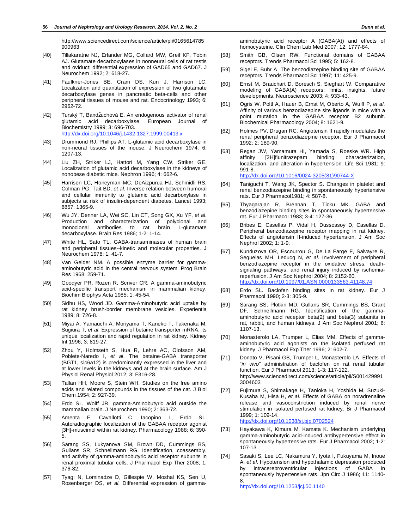http://www.sciencedirect.com/science/article/pii/0165614785 900963

- [40] Tillakaratne NJ, Erlander MG, Collard MW, Greif KF, Tobin AJ. Glutamate decarboxylases in nonneural cells of rat testis and oviduct: differential expression of GAD65 and GAD67. J Neurochem 1992; 2: 618-27.
- [41] Faulkner-Jones BE, Cram DS, Kun J, Harrison LC. Localization and quantitation of expression of two glutamate decarboxylase genes in pancreatic beta-cells and other peripheral tissues of mouse and rat. Endocrinology 1993; 6: 2962-72.
- [42] Turský T, Bandžuchová E. An endogenous activator of renal glutamic acid decarboxylase. European Journal of Biochemistry 1999; 3: 696-703. http://dx.doi.org/10.1046/j.1432-1327.1999.00413.x
- [43] Drummond RJ, Phillips AT. L-glutamic acid decarboxylase in non-neural tissues of the mouse. J Neurochem 1974; 6: 1207-13.
- [44] Liu ZH, Striker LJ, Hattori M, Yang CW, Striker GE. Localization of glutamic acid decarboxylase in the kidneys of nonobese diabetic mice. Nephron 1996; 4: 662-6.
- [45] Harrison LC, Honeyman MC, DeAizpurua HJ, Schmidli RS, Colman PG, Tait BD, et al. Inverse relation between humoral and cellular immunity to glutamic acid decarboxylase in subjects at risk of insulin-dependent diabetes. Lancet 1993; 8857: 1365-9.
- [46] Wu JY, Denner LA, Wei SC, Lin CT, Song GX, Xu YF, et al. Production and characterization of polyclonal and monoclonal antibodies to rat brain L-glutamate decarboxylase. Brain Res 1986; 1-2: 1-14.
- [47] White HL, Sato TL. GABA-transaminases of human brain and peripheral tissues--kinetic and molecular properties. J Neurochem 1978; 1: 41-7.
- [48] Van Gelder NM. A possible enzyme barrier for gammaaminobutyric acid in the central nervous system. Prog Brain Res 1968: 259-71.
- [49] Goodyer PR, Rozen R, Scriver CR. A gamma-aminobutyric acid-specific transport mechanism in mammalian kidney. Biochim Biophys Acta 1985; 1: 45-54.
- [50] Sidhu HS, Wood JD. Gamma-Aminobutyric acid uptake by rat kidney brush-border membrane vesicles. Experientia 1989; 8: 726-8.
- [51] Miyai A, Yamauchi A, Moriyama T, Kaneko T, Takenaka M, Sugiura T, et al. Expression of betaine transporter mRNA: its unique localization and rapid regulation in rat kidney. Kidney Int 1996; 3: 819-27.
- [52] Zhou Y, Holmseth S, Hua R, Lehre AC, Olofsson AM, Poblete-Naredo I, et al. The betaine-GABA transporter (BGT1, slc6a12) is predominantly expressed in the liver and at lower levels in the kidneys and at the brain surface. Am J Physiol Renal Physiol 2012; 3: F316-28.
- [53] Tallan HH, Moore S, Stein WH. Studies on the free amino acids and related compounds in the tissues of the cat. J Biol Chem 1954; 2: 927-39.
- [54] Erdo SL, Wolff JR. gamma-Aminobutyric acid outside the mammalian brain. J Neurochem 1990; 2: 363-72.
- [55] Amenta F, Cavallotti C, Iacopino L, Erdo SL. Autoradiographic localization of the GABAA receptor agonist [3H]-muscimol within rat kidney. Pharmacology 1988; 6: 390- 5.
- [56] Sarang SS, Lukyanova SM, Brown DD, Cummings BS, Gullans SR, Schnellmann RG. Identification, coassembly, and activity of gamma-aminobutyric acid receptor subunits in renal proximal tubular cells. J Pharmacol Exp Ther 2008; 1: 376-82.
- [57] Tyagi N, Lominadze D, Gillespie W, Moshal KS, Sen U, Rosenberger DS, et al. Differential expression of gamma-

aminobutyric acid receptor A (GABA(A)) and effects of homocysteine. Clin Chem Lab Med 2007; 12: 1777-84.

- [58] Smith GB, Olsen RW. Functional domains of GABAA receptors. Trends Pharmacol Sci 1995; 5: 162-8.
- [59] Sigel E, Buhr A. The benzodiazepine binding site of GABAA receptors. Trends Pharmacol Sci 1997; 11: 425-9.
- [60] Ernst M, Brauchart D, Boresch S, Sieghart W. Comparative modeling of GABA(A) receptors: limits, insights, future developments. Neuroscience 2003; 4: 933-43.
- [61] Ogris W, Poltl A, Hauer B, Ernst M, Oberto A, Wulff P, et al. Affinity of various benzodiazepine site ligands in mice with a point mutation in the GABAA receptor B2 subunit. Biochemical Pharmacology 2004; 8: 1621-9.
- [62] Holmes PV, Drugan RC. Angiotensin II rapidly modulates the renal peripheral benzodiazepine receptor. Eur J Pharmacol 1992; 2: 189-90.
- [63] Regan JW, Yamamura HI, Yamada S, Roeske WR. High affinity [3H]flunitrazepam binding: characterization, localization, and alteration in hypertension. Life Sci 1981; 9: 991-8. http://dx.doi.org/10.1016/0024-3205(81)90744-X

- [64] Taniguchi T, Wang JK, Spector S. Changes in platelet and renal benzodiazepine binding in spontaneously hypertensive rats. Eur J Pharmacol1981; 4: 587-8.
- [65] Thyagarajan R, Brennan T, Ticku MK. GABA and benzodiazepine binding sites in spontaneously hypertensive rat. Eur J Pharmacol 1983; 3-4: 127-36.
- [66] Bribes E, Casellas P, Vidal H, Dussossoy D, Casellas D. Peripheral benzodiazepine receptor mapping in rat kidney. Effects of angiotensin II-induced hypertension. J Am Soc Nephrol 2002; 1: 1-9.
- [67] Kunduzova OR, Escourrou G, De La Farge F, Salvayre R, Seguelas MH, Leducq N, et al. Involvement of peripheral benzodiazepine receptor in the oxidative stress, deathsignaling pathways, and renal injury induced by ischemiareperfusion. J Am Soc Nephrol 2004; 8: 2152-60. http://dx.doi.org/10.1097/01.ASN.0000133563.41148.74
- [68] Erdo SL. Baclofen binding sites in rat kidney. Eur J Pharmacol 1990; 2-3: 305-9.
- [69] Sarang SS, Plotkin MD, Gullans SR, Cummings BS, Grant DF, Schnellmann RG. Identification of the gammaaminobutyric acid receptor beta(2) and beta(3) subunits in rat, rabbit, and human kidneys. J Am Soc Nephrol 2001; 6: 1107-13.
- [70] Monasterolo LA, Trumper L, Elias MM. Effects of gammaaminobutyric acid agonists on the isolated perfused rat kidney. J Pharmacol Exp Ther 1996; 2: 602-7.
- [71] Donato V, Pisani GB, Trumper L, Monasterolo LA. Effects of "in vivo" administration of baclofen on rat renal tubular function. Eur J Pharmacol 2013; 1-3: 117-122. http://www.sciencedirect.com/science/article/pii/S001429991 3004603
- [72] Fujimura S, Shimakage H, Tanioka H, Yoshida M, Suzuki-Kusaba M, Hisa H, et al. Effects of GABA on noradrenaline release and vasoconstriction induced by renal nerve stimulation in isolated perfused rat kidney. Br J Pharmacol 1999; 1: 109-14. http://dx.doi.org/10.1038/sj.bjp.0702524
- [73] Hayakawa K, Kimura M, Kamata K. Mechanism underlying gamma-aminobutyric acid-induced antihypertensive effect in spontaneously hypertensive rats. Eur J Pharmacol 2002; 1-2: 107-13.
- [74] Sasaki S, Lee LC, Nakamura Y, Iyota I, Fukuyama M, Inoue A, et al. Hypotension and hypothalamic depression produced by intracerebroventricular injections of GABA in spontaneously hypertensive rats. Jpn Circ J 1986; 11: 1140- 8.

http://dx.doi.org/10.1253/jcj.50.1140